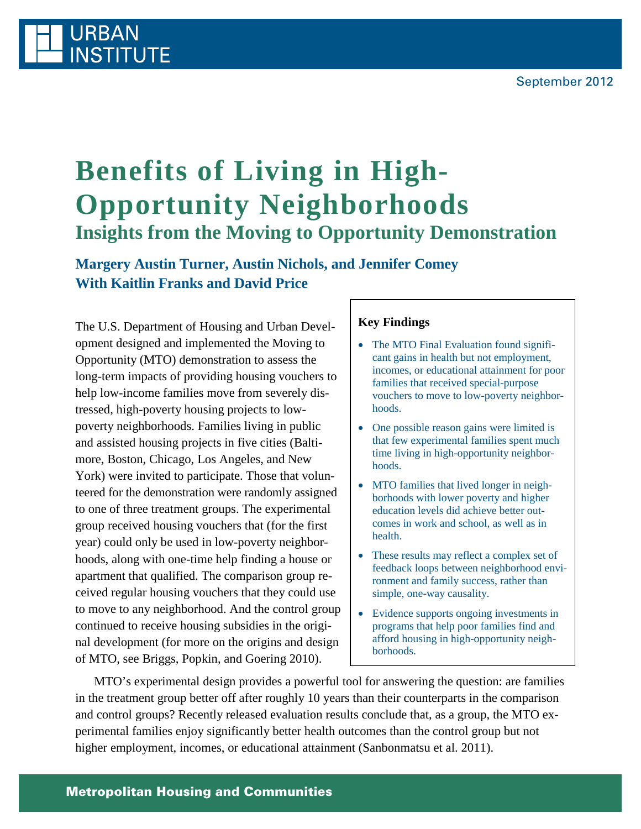## **URBAN INSTITUTE**

# **Benefits of Living in High-Opportunity Neighborhoods Insights from the Moving to Opportunity Demonstration**

**Margery Austin Turner, Austin Nichols, and Jennifer Comey With Kaitlin Franks and David Price**

The U.S. Department of Housing and Urban Development designed and implemented the Moving to Opportunity (MTO) demonstration to assess the long-term impacts of providing housing vouchers to help low-income families move from severely distressed, high-poverty housing projects to lowpoverty neighborhoods. Families living in public and assisted housing projects in five cities (Baltimore, Boston, Chicago, Los Angeles, and New York) were invited to participate. Those that volunteered for the demonstration were randomly assigned to one of three treatment groups. The experimental group received housing vouchers that (for the first year) could only be used in low-poverty neighborhoods, along with one-time help finding a house or apartment that qualified. The comparison group received regular housing vouchers that they could use to move to any neighborhood. And the control group continued to receive housing subsidies in the original development (for more on the origins and design of MTO, see Briggs, Popkin, and Goering 2010).

### **Key Findings**

- The MTO Final Evaluation found significant gains in health but not employment, incomes, or educational attainment for poor families that received special-purpose vouchers to move to low-poverty neighborhoods.
- One possible reason gains were limited is that few experimental families spent much time living in high-opportunity neighborhoods.
- MTO families that lived longer in neighborhoods with lower poverty and higher education levels did achieve better outcomes in work and school, as well as in health.
- These results may reflect a complex set of feedback loops between neighborhood environment and family success, rather than simple, one-way causality.
- Evidence supports ongoing investments in programs that help poor families find and afford housing in high-opportunity neighborhoods.

MTO's experimental design provides a powerful tool for answering the question: are families in the treatment group better off after roughly 10 years than their counterparts in the comparison and control groups? Recently released evaluation results conclude that, as a group, the MTO experimental families enjoy significantly better health outcomes than the control group but not higher employment, incomes, or educational attainment (Sanbonmatsu et al. 2011).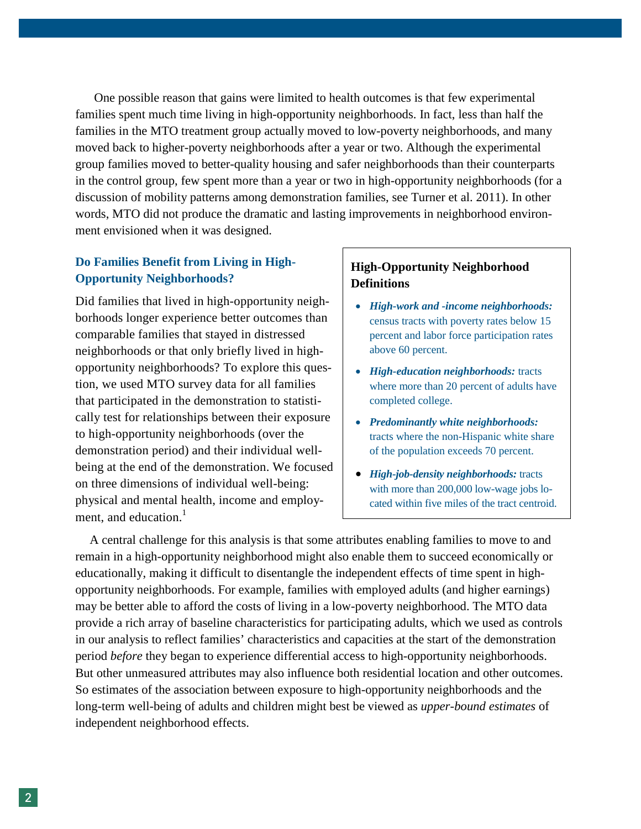One possible reason that gains were limited to health outcomes is that few experimental families spent much time living in high-opportunity neighborhoods. In fact, less than half the families in the MTO treatment group actually moved to low-poverty neighborhoods, and many moved back to higher-poverty neighborhoods after a year or two. Although the experimental group families moved to better-quality housing and safer neighborhoods than their counterparts in the control group, few spent more than a year or two in high-opportunity neighborhoods (for a discussion of mobility patterns among demonstration families, see Turner et al. 2011). In other words, MTO did not produce the dramatic and lasting improvements in neighborhood environment envisioned when it was designed.

#### **Do Families Benefit from Living in High-Opportunity Neighborhoods?**

Did families that lived in high-opportunity neighborhoods longer experience better outcomes than comparable families that stayed in distressed neighborhoods or that only briefly lived in highopportunity neighborhoods? To explore this question, we used MTO survey data for all families that participated in the demonstration to statistically test for relationships between their exposure to high-opportunity neighborhoods (over the demonstration period) and their individual wellbeing at the end of the demonstration. We focused on three dimensions of individual well-being: physical and mental health, income and employment, and education. $<sup>1</sup>$ </sup>

#### **High-Opportunity Neighborhood Definitions**

- *High-work and -income neighborhoods:* census tracts with poverty rates below 15 percent and labor force participation rates above 60 percent.
- *High-education neighborhoods:* tracts where more than 20 percent of adults have completed college.
- *Predominantly white neighborhoods:* tracts where the non-Hispanic white share of the population exceeds 70 percent.
- *High-job-density neighborhoods:* tracts with more than 200,000 low-wage jobs located within five miles of the tract centroid.

A central challenge for this analysis is that some attributes enabling families to move to and remain in a high-opportunity neighborhood might also enable them to succeed economically or educationally, making it difficult to disentangle the independent effects of time spent in highopportunity neighborhoods. For example, families with employed adults (and higher earnings) may be better able to afford the costs of living in a low-poverty neighborhood. The MTO data provide a rich array of baseline characteristics for participating adults, which we used as controls in our analysis to reflect families' characteristics and capacities at the start of the demonstration period *before* they began to experience differential access to high-opportunity neighborhoods. But other unmeasured attributes may also influence both residential location and other outcomes. So estimates of the association between exposure to high-opportunity neighborhoods and the long-term well-being of adults and children might best be viewed as *upper-bound estimates* of independent neighborhood effects.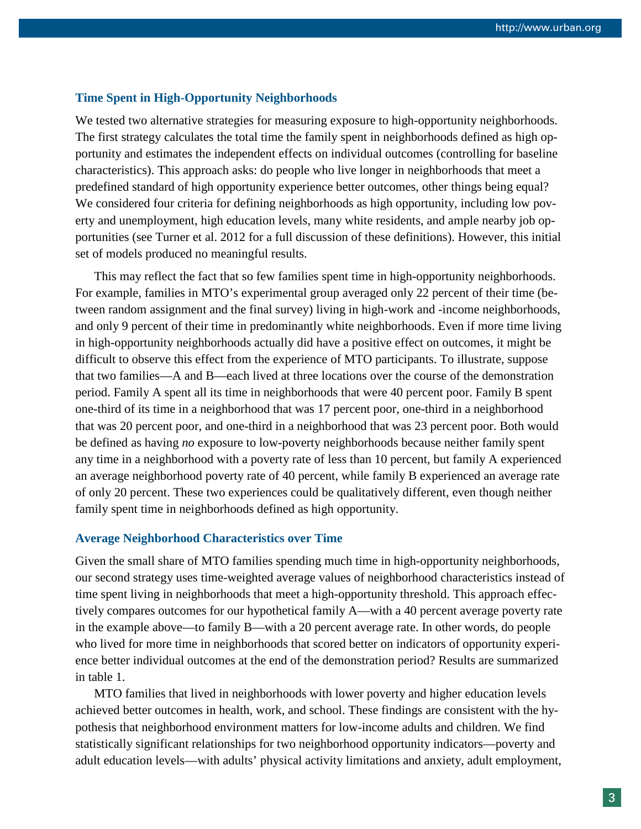#### **Time Spent in High-Opportunity Neighborhoods**

We tested two alternative strategies for measuring exposure to high-opportunity neighborhoods. The first strategy calculates the total time the family spent in neighborhoods defined as high opportunity and estimates the independent effects on individual outcomes (controlling for baseline characteristics). This approach asks: do people who live longer in neighborhoods that meet a predefined standard of high opportunity experience better outcomes, other things being equal? We considered four criteria for defining neighborhoods as high opportunity, including low poverty and unemployment, high education levels, many white residents, and ample nearby job opportunities (see Turner et al. 2012 for a full discussion of these definitions). However, this initial set of models produced no meaningful results.

This may reflect the fact that so few families spent time in high-opportunity neighborhoods. For example, families in MTO's experimental group averaged only 22 percent of their time (between random assignment and the final survey) living in high-work and -income neighborhoods, and only 9 percent of their time in predominantly white neighborhoods. Even if more time living in high-opportunity neighborhoods actually did have a positive effect on outcomes, it might be difficult to observe this effect from the experience of MTO participants. To illustrate, suppose that two families—A and B—each lived at three locations over the course of the demonstration period. Family A spent all its time in neighborhoods that were 40 percent poor. Family B spent one-third of its time in a neighborhood that was 17 percent poor, one-third in a neighborhood that was 20 percent poor, and one-third in a neighborhood that was 23 percent poor. Both would be defined as having *no* exposure to low-poverty neighborhoods because neither family spent any time in a neighborhood with a poverty rate of less than 10 percent, but family A experienced an average neighborhood poverty rate of 40 percent, while family B experienced an average rate of only 20 percent. These two experiences could be qualitatively different, even though neither family spent time in neighborhoods defined as high opportunity.

#### **Average Neighborhood Characteristics over Time**

Given the small share of MTO families spending much time in high-opportunity neighborhoods, our second strategy uses time-weighted average values of neighborhood characteristics instead of time spent living in neighborhoods that meet a high-opportunity threshold. This approach effectively compares outcomes for our hypothetical family A—with a 40 percent average poverty rate in the example above—to family B—with a 20 percent average rate. In other words, do people who lived for more time in neighborhoods that scored better on indicators of opportunity experience better individual outcomes at the end of the demonstration period? Results are summarized in table 1.

MTO families that lived in neighborhoods with lower poverty and higher education levels achieved better outcomes in health, work, and school. These findings are consistent with the hypothesis that neighborhood environment matters for low-income adults and children. We find statistically significant relationships for two neighborhood opportunity indicators—poverty and adult education levels—with adults' physical activity limitations and anxiety, adult employment,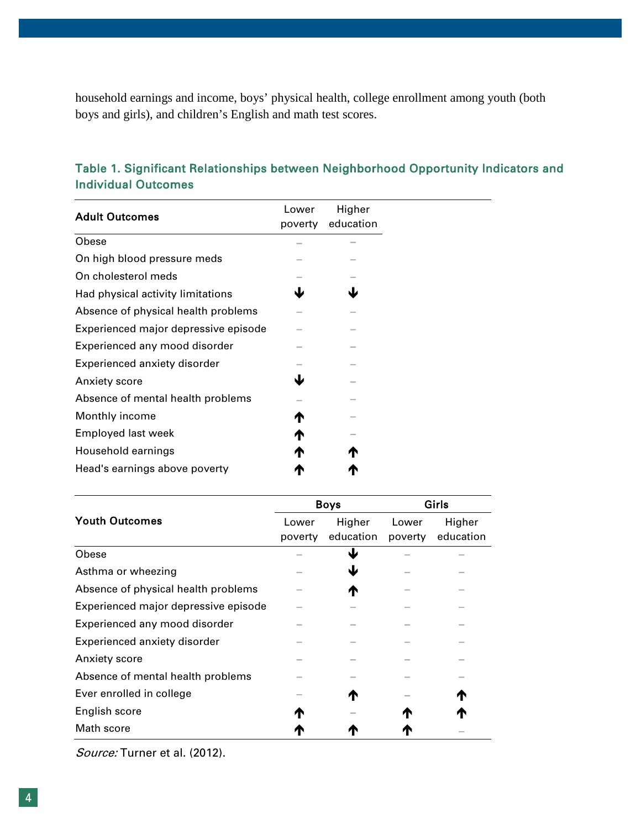household earnings and income, boys' physical health, college enrollment among youth (both boys and girls), and children's English and math test scores.

## **Adult Outcomes Lower** poverty education Higher Obese – – On high blood pressure meds – – On cholesterol meds Had physical activity limitations  $\blacklozenge$ Absence of physical health problems  $-$ Experienced major depressive episode – – Experienced any mood disorder  $-$ Experienced anxiety disorder – – – – Anxiety score **Latter Structure 1** Absence of mental health problems  $-$ Monthly income  $\uparrow$   $\uparrow$   $-$ Employed last week **and the set of the set of the set of the set of the set of the set of the set of the set of the set of the set of the set of the set of the set of the set of the set of the set of the set of the set of** Household earnings **A** Head's earnings above poverty **A**

|                                      | <b>Boys</b> |           | <b>Girls</b> |           |
|--------------------------------------|-------------|-----------|--------------|-----------|
| <b>Youth Outcomes</b>                | Lower       | Higher    | Lower        | Higher    |
|                                      | poverty     | education | poverty      | education |
| Obese                                |             | J         |              |           |
| Asthma or wheezing                   |             | ₩         |              |           |
| Absence of physical health problems  |             | ́∩        |              |           |
| Experienced major depressive episode |             |           |              |           |
| Experienced any mood disorder        |             |           |              |           |
| Experienced anxiety disorder         |             |           |              |           |
| Anxiety score                        |             |           |              |           |
| Absence of mental health problems    |             |           |              |           |
| Ever enrolled in college             |             | T         |              |           |
| English score                        | ́↑          |           |              |           |
| Math score                           |             |           |              |           |

## Table 1. Significant Relationships between Neighborhood Opportunity Indicators and Individual Outcomes

Source: Turner et al. (2012).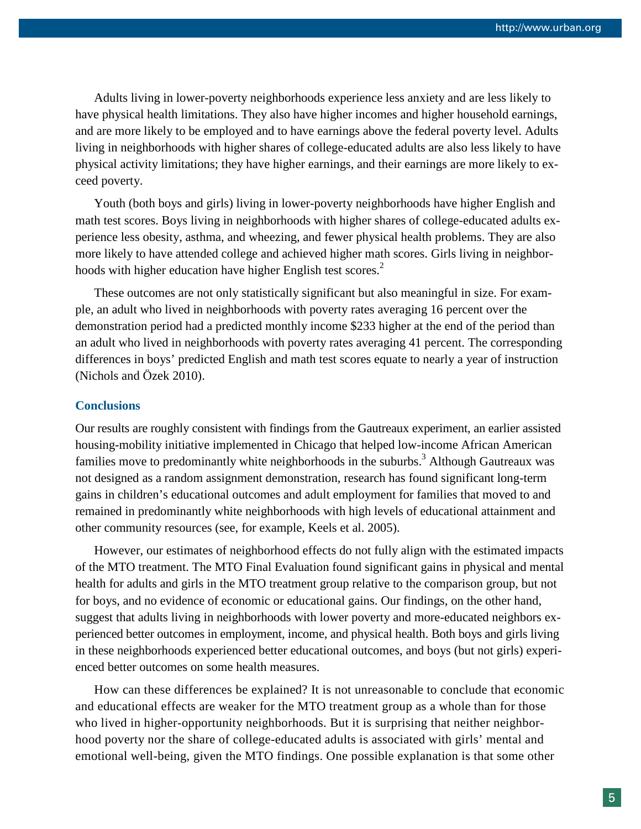Adults living in lower-poverty neighborhoods experience less anxiety and are less likely to have physical health limitations. They also have higher incomes and higher household earnings, and are more likely to be employed and to have earnings above the federal poverty level. Adults living in neighborhoods with higher shares of college-educated adults are also less likely to have physical activity limitations; they have higher earnings, and their earnings are more likely to exceed poverty.

Youth (both boys and girls) living in lower-poverty neighborhoods have higher English and math test scores. Boys living in neighborhoods with higher shares of college-educated adults experience less obesity, asthma, and wheezing, and fewer physical health problems. They are also more likely to have attended college and achieved higher math scores. Girls living in neighborhoods with higher education have higher English test scores.<sup>2</sup>

These outcomes are not only statistically significant but also meaningful in size. For example, an adult who lived in neighborhoods with poverty rates averaging 16 percent over the demonstration period had a predicted monthly income \$233 higher at the end of the period than an adult who lived in neighborhoods with poverty rates averaging 41 percent. The corresponding differences in boys' predicted English and math test scores equate to nearly a year of instruction (Nichols and Özek 2010).

#### **Conclusions**

Our results are roughly consistent with findings from the Gautreaux experiment, an earlier assisted housing-mobility initiative implemented in Chicago that helped low-income African American families move to predominantly white neighborhoods in the suburbs.<sup>3</sup> Although Gautreaux was not designed as a random assignment demonstration, research has found significant long-term gains in children's educational outcomes and adult employment for families that moved to and remained in predominantly white neighborhoods with high levels of educational attainment and other community resources (see, for example, Keels et al. 2005).

However, our estimates of neighborhood effects do not fully align with the estimated impacts of the MTO treatment. The MTO Final Evaluation found significant gains in physical and mental health for adults and girls in the MTO treatment group relative to the comparison group, but not for boys, and no evidence of economic or educational gains. Our findings, on the other hand, suggest that adults living in neighborhoods with lower poverty and more-educated neighbors experienced better outcomes in employment, income, and physical health. Both boys and girls living in these neighborhoods experienced better educational outcomes, and boys (but not girls) experienced better outcomes on some health measures.

How can these differences be explained? It is not unreasonable to conclude that economic and educational effects are weaker for the MTO treatment group as a whole than for those who lived in higher-opportunity neighborhoods. But it is surprising that neither neighborhood poverty nor the share of college-educated adults is associated with girls' mental and emotional well-being, given the MTO findings. One possible explanation is that some other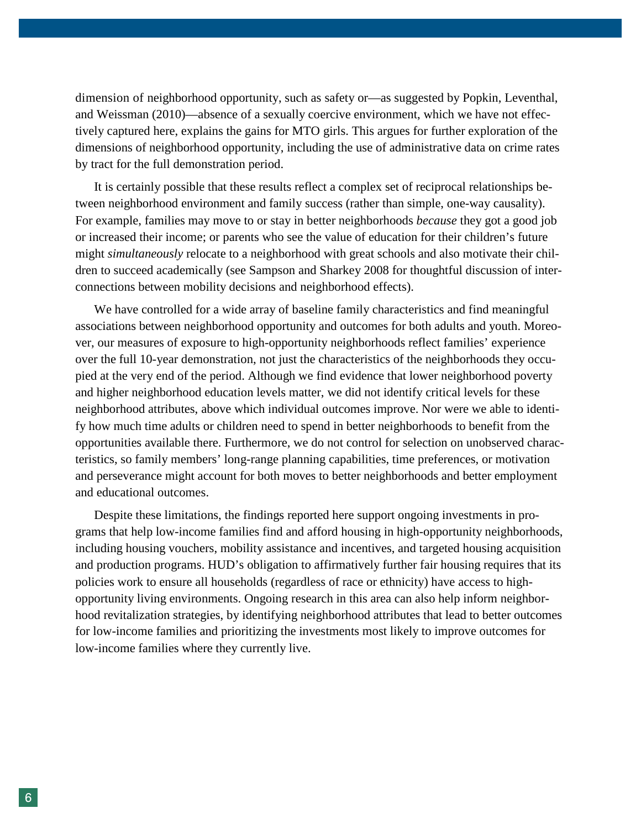dimension of neighborhood opportunity, such as safety or—as suggested by Popkin, Leventhal, and Weissman (2010)—absence of a sexually coercive environment, which we have not effectively captured here, explains the gains for MTO girls. This argues for further exploration of the dimensions of neighborhood opportunity, including the use of administrative data on crime rates by tract for the full demonstration period.

It is certainly possible that these results reflect a complex set of reciprocal relationships between neighborhood environment and family success (rather than simple, one-way causality). For example, families may move to or stay in better neighborhoods *because* they got a good job or increased their income; or parents who see the value of education for their children's future might *simultaneously* relocate to a neighborhood with great schools and also motivate their children to succeed academically (see Sampson and Sharkey 2008 for thoughtful discussion of interconnections between mobility decisions and neighborhood effects).

We have controlled for a wide array of baseline family characteristics and find meaningful associations between neighborhood opportunity and outcomes for both adults and youth. Moreover, our measures of exposure to high-opportunity neighborhoods reflect families' experience over the full 10-year demonstration, not just the characteristics of the neighborhoods they occupied at the very end of the period. Although we find evidence that lower neighborhood poverty and higher neighborhood education levels matter, we did not identify critical levels for these neighborhood attributes, above which individual outcomes improve. Nor were we able to identify how much time adults or children need to spend in better neighborhoods to benefit from the opportunities available there. Furthermore, we do not control for selection on unobserved characteristics, so family members' long-range planning capabilities, time preferences, or motivation and perseverance might account for both moves to better neighborhoods and better employment and educational outcomes.

Despite these limitations, the findings reported here support ongoing investments in programs that help low-income families find and afford housing in high-opportunity neighborhoods, including housing vouchers, mobility assistance and incentives, and targeted housing acquisition and production programs. HUD's obligation to affirmatively further fair housing requires that its policies work to ensure all households (regardless of race or ethnicity) have access to highopportunity living environments. Ongoing research in this area can also help inform neighborhood revitalization strategies, by identifying neighborhood attributes that lead to better outcomes for low-income families and prioritizing the investments most likely to improve outcomes for low-income families where they currently live.